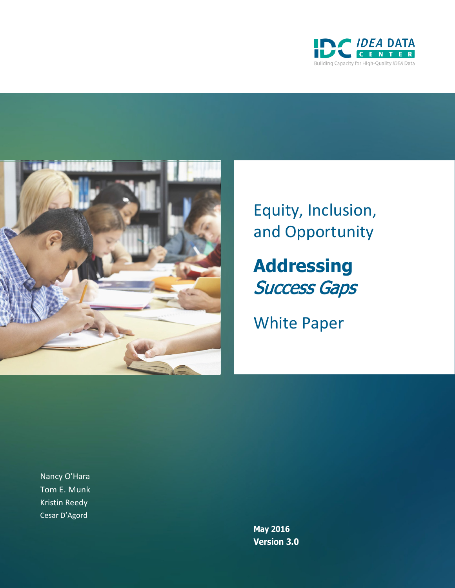



Equity, Inclusion, and Opportunity

**Addressing** Success Gaps

White Paper

Nancy O'Hara Tom E. Munk Kristin Reedy Cesar D'Agord

> **May 2016 Version 3.0**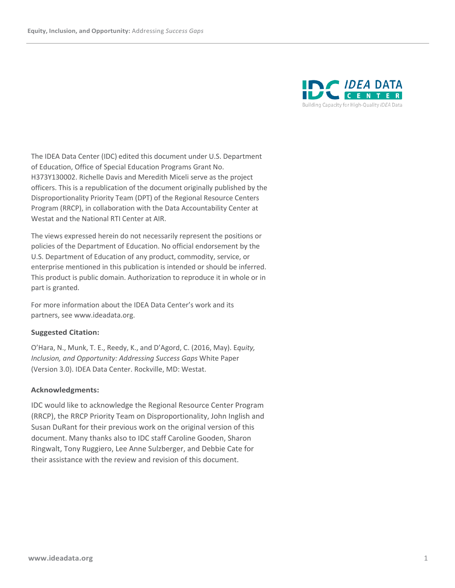

The IDEA Data Center (IDC) edited this document under U.S. Department of Education, Office of Special Education Programs Grant No. H373Y130002. Richelle Davis and Meredith Miceli serve as the project officers. This is a republication of the document originally published by the Disproportionality Priority Team (DPT) of the Regional Resource Centers Program (RRCP), in collaboration with the Data Accountability Center at Westat and the National RTI Center at AIR.

The views expressed herein do not necessarily represent the positions or policies of the Department of Education. No official endorsement by the U.S. Department of Education of any product, commodity, service, or enterprise mentioned in this publication is intended or should be inferred. This product is public domain. Authorization to reproduce it in whole or in part is granted.

For more information about the IDEA Data Center's work and its partners, see [www.ideadata.org.](http://www.ideadata.org/)

#### **Suggested Citation:**

O'Hara, N., Munk, T. E., Reedy, K., and D'Agord, C. (2016, May). E*quity, Inclusion, and Opportunity: Addressing Success Gaps* White Paper (Version 3.0). IDEA Data Center. Rockville, MD: Westat.

#### **Acknowledgments:**

IDC would like to acknowledge the Regional Resource Center Program (RRCP), the RRCP Priority Team on Disproportionality, John Inglish and Susan DuRant for their previous work on the original version of this document. Many thanks also to IDC staff Caroline Gooden, Sharon Ringwalt, Tony Ruggiero, Lee Anne Sulzberger, and Debbie Cate for their assistance with the review and revision of this document.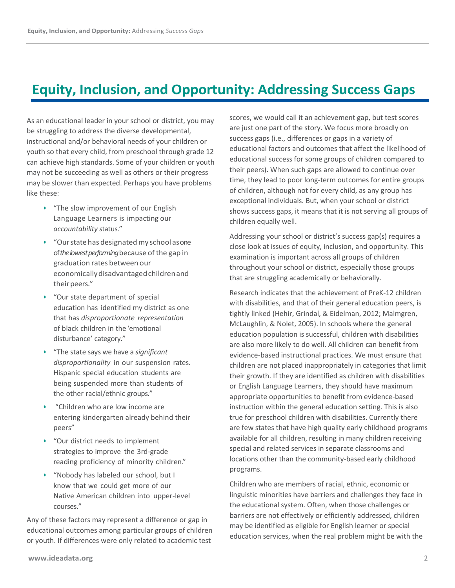# **Equity, Inclusion, and Opportunity: Addressing Success Gaps**

As an educational leader in your school or district, you may be struggling to address the diverse developmental, instructional and/or behavioral needs of your children or youth so that every child, from preschool through grade 12 can achieve high standards. Some of your children or youth may not be succeeding as well as others or their progress may be slower than expected. Perhaps you have problems like these:

- **•** "The slow improvement of our English Language Learners is impacting our *accountability s*tatus."
- **•** "Ourstate has designated my school as one of *the lowest performing* because of the gap in graduation rates between our economicallydisadvantagedchildrenand theirpeers."
- **•** "Our state department of special education has identified my district as one that has *disproportionate representation* of black children in the 'emotional disturbance' category."
- **•** "The state says we have a *significant disproportionality* in our suspension rates. Hispanic special education students are being suspended more than students of the other racial/ethnic groups."
- **•** "Children who are low income are entering kindergarten already behind their peers"
- **•** "Our district needs to implement strategies to improve the 3rd-grade reading proficiency of minority children."
- **•** "Nobody has labeled our school, but I know that we could get more of our Native American children into upper-level courses."

Any of these factors may represent a difference or gap in educational outcomes among particular groups of children or youth. If differences were only related to academic test

scores, we would call it an achievement gap, but test scores are just one part of the story. We focus more broadly on success gaps (i.e., differences or gaps in a variety of educational factors and outcomes that affect the likelihood of educational success for some groups of children compared to their peers). When such gaps are allowed to continue over time, they lead to poor long-term outcomes for entire groups of children, although not for every child, as any group has exceptional individuals. But, when your school or district shows success gaps, it means that it is not serving all groups of children equally well.

Addressing your school or district's success gap(s) requires a close look at issues of equity, inclusion, and opportunity. This examination is important across all groups of children throughout your school or district, especially those groups that are struggling academically or behaviorally.

Research indicates that the achievement of PreK-12 children with disabilities, and that of their general education peers, is tightly linked (Hehir, Grindal, & Eidelman, 2012; Malmgren, McLaughlin, & Nolet, 2005). In schools where the general education population is successful, children with disabilities are also more likely to do well. All children can benefit from evidence-based instructional practices. We must ensure that children are not placed inappropriately in categories that limit their growth. If they are identified as children with disabilities or English Language Learners, they should have maximum appropriate opportunities to benefit from evidence-based instruction within the general education setting. This is also true for preschool children with disabilities. Currently there are few states that have high quality early childhood programs available for all children, resulting in many children receiving special and related services in separate classrooms and locations other than the community-based early childhood programs.

Children who are members of racial, ethnic, economic or linguistic minorities have barriers and challenges they face in the educational system. Often, when those challenges or barriers are not effectively or efficiently addressed, children may be identified as eligible for English learner or special education services, when the real problem might be with the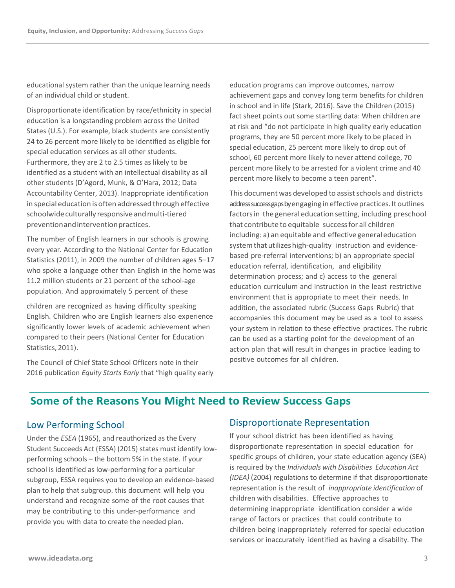educational system rather than the unique learning needs of an individual child or student.

Disproportionate identification by race/ethnicity in special education is a longstanding problem across the United States (U.S.). For example, black students are consistently 24 to 26 percent more likely to be identified as eligible for special education services as all other students. Furthermore, they are 2 to 2.5 times as likely to be identified as a student with an intellectual disability as all other students (D'Agord, Munk, & O'Hara, 2012; Data Accountability Center, 2013). Inappropriate identification in special education is oftenaddressed through effective schoolwide culturally responsive and multi-tiered preventionandinterventionpractices.

The number of English learners in our schools is growing every year. According to the National Center for Education Statistics (2011), in 2009 the number of children ages 5–17 who spoke a language other than English in the home was 11.2 million students or 21 percent of the school-age population. And approximately 5 percent of these

children are recognized as having difficulty speaking English. Children who are English learners also experience significantly lower levels of academic achievement when compared to their peers (National Center for Education Statistics, 2011).

The Council of Chief State School Officers note in their 2016 publication *Equity Starts Early* that "high quality early education programs can improve outcomes, narrow achievement gaps and convey long term benefits for children in school and in life (Stark, 2016). Save the Children (2015) fact sheet points out some startling data: When children are at risk and "do not participate in high quality early education programs, they are 50 percent more likely to be placed in special education, 25 percent more likely to drop out of school, 60 percent more likely to never attend college, 70 percent more likely to be arrested for a violent crime and 40 percent more likely to become a teen parent".

This document was developed to assist schools and districts address success gaps by engaging in effective practices. It outlines factors in the general education setting, including preschool that contribute to equitable successfor all children including: a) an equitable and effective general education system that utilizes high-quality instruction and evidencebased pre-referral interventions; b) an appropriate special education referral, identification, and eligibility determination process; and c) access to the general education curriculum and instruction in the least restrictive environment that is appropriate to meet their needs. In addition, the associated rubric (Success Gaps Rubric) that accompanies this document may be used as a tool to assess your system in relation to these effective practices. The rubric can be used as a starting point for the development of an action plan that will result in changes in practice leading to positive outcomes for all children.

### **Some of the Reasons You Might Need to Review Success Gaps**

#### Low Performing School

Under the *ESEA* (1965), and reauthorized as the Every Student Succeeds Act (ESSA) (2015) states must identify lowperforming schools – the bottom 5% in the state. If your school is identified as low-performing for a particular subgroup, ESSA requires you to develop an evidence-based plan to help that subgroup. this document will help you understand and recognize some of the root causes that may be contributing to this under-performance and provide you with data to create the needed plan.

#### Disproportionate Representation

If your school district has been identified as having disproportionate representation in special education for specific groups of children, your state education agency (SEA) is required by the *Individuals with Disabilities Education Act (IDEA)* (2004) regulations to determine if that disproportionate representation is the result of *inappropriate identification* of children with disabilities. Effective approaches to determining inappropriate identification consider a wide range of factors or practices that could contribute to children being inappropriately referred for special education services or inaccurately identified as having a disability. The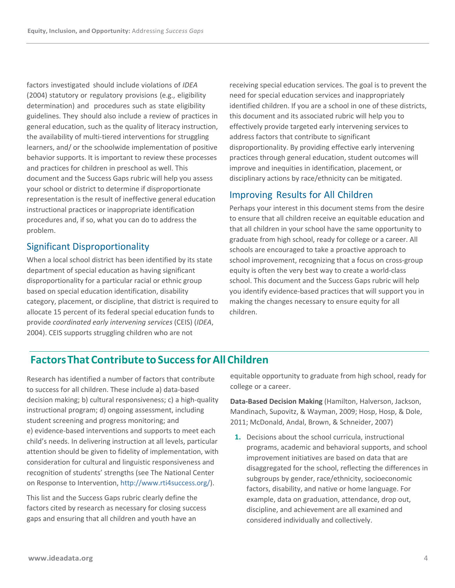factors investigated should include violations of *IDEA* (2004) statutory or regulatory provisions (e.g., eligibility determination) and procedures such as state eligibility guidelines. They should also include a review of practices in general education, such as the quality of literacy instruction, the availability of multi-tiered interventions for struggling learners, and/ or the schoolwide implementation of positive behavior supports. It is important to review these processes and practices for children in preschool as well. This document and the Success Gaps rubric will help you assess your school or district to determine if disproportionate representation is the result of ineffective general education instructional practices or inappropriate identification procedures and, if so, what you can do to address the problem.

### Significant Disproportionality

When a local school district has been identified by its state department of special education as having significant disproportionality for a particular racial or ethnic group based on special education identification, disability category, placement, or discipline, that district is required to allocate 15 percent of its federal special education funds to provide *coordinated early intervening services* (CEIS) (*IDEA*, 2004). CEIS supports struggling children who are not

receiving special education services. The goal is to prevent the need for special education services and inappropriately identified children. If you are a school in one of these districts, this document and its associated rubric will help you to effectively provide targeted early intervening services to address factors that contribute to significant disproportionality. By providing effective early intervening practices through general education, student outcomes will improve and inequities in identification, placement, or disciplinary actions by race/ethnicity can be mitigated.

### Improving Results for All Children

Perhaps your interest in this document stems from the desire to ensure that all children receive an equitable education and that all children in your school have the same opportunity to graduate from high school, ready for college or a career. All schools are encouraged to take a proactive approach to school improvement, recognizing that a focus on cross-group equity is often the very best way to create a world-class school. This document and the Success Gaps rubric will help you identify evidence-based practices that will support you in making the changes necessary to ensure equity for all children.

### **Factors That Contribute toSuccess forAll Children**

Research has identified a number of factors that contribute to success for all children. These include a) data-based decision making; b) cultural responsiveness; c) a high-quality instructional program; d) ongoing assessment, including student screening and progress monitoring; and e) evidence-based interventions and supports to meet each child's needs. In delivering instruction at all levels, particular attention should be given to fidelity of implementation, with consideration for cultural and linguistic responsiveness and recognition of students' strengths (see The National Center on Response to Intervention, [http://www.rti4success.org/\)](http://www.rti4success.org/).

This list and the Success Gaps rubric clearly define the factors cited by research as necessary for closing success gaps and ensuring that all children and youth have an

equitable opportunity to graduate from high school, ready for college or a career.

**Data-Based Decision Making** (Hamilton, Halverson, Jackson, Mandinach, Supovitz, & Wayman, 2009; Hosp, Hosp, & Dole, 2011; McDonald, Andal, Brown, & Schneider, 2007)

**1.** Decisions about the school curricula, instructional programs, academic and behavioral supports, and school improvement initiatives are based on data that are disaggregated for the school, reflecting the differences in subgroups by gender, race/ethnicity, socioeconomic factors, disability, and native or home language. For example, data on graduation, attendance, drop out, discipline, and achievement are all examined and considered individually and collectively.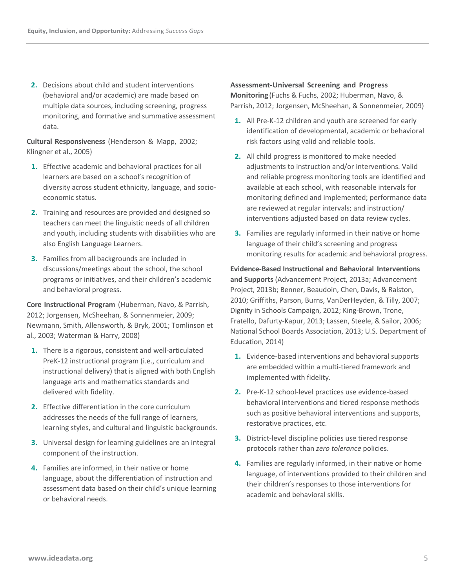**2.** Decisions about child and student interventions (behavioral and/or academic) are made based on multiple data sources, including screening, progress monitoring, and formative and summative assessment data.

**Cultural Responsiveness** (Henderson & Mapp, 2002; Klingner et al., 2005)

- **1.** Effective academic and behavioral practices for all learners are based on a school's recognition of diversity across student ethnicity, language, and socioeconomic status.
- **2.** Training and resources are provided and designed so teachers can meet the linguistic needs of all children and youth, including students with disabilities who are also English Language Learners.
- **3.** Families from all backgrounds are included in discussions/meetings about the school, the school programs or initiatives, and their children's academic and behavioral progress.

**Core Instructional Program** (Huberman, Navo, & Parrish, 2012; Jorgensen, McSheehan, & Sonnenmeier, 2009; Newmann, Smith, Allensworth, & Bryk, 2001; Tomlinson et al., 2003; Waterman & Harry, 2008)

- **1.** There is a rigorous, consistent and well-articulated PreK-12 instructional program (i.e., curriculum and instructional delivery) that is aligned with both English language arts and mathematics standards and delivered with fidelity.
- **2.** Effective differentiation in the core curriculum addresses the needs of the full range of learners, learning styles, and cultural and linguistic backgrounds.
- **3.** Universal design for learning guidelines are an integral component of the instruction.
- **4.** Families are informed, in their native or home language, about the differentiation of instruction and assessment data based on their child's unique learning or behavioral needs.

#### **Assessment-Universal Screening and Progress**

**Monitoring**(Fuchs & Fuchs, 2002; Huberman, Navo, & Parrish, 2012; Jorgensen, McSheehan, & Sonnenmeier, 2009)

- **1.** All Pre-K-12 children and youth are screened for early identification of developmental, academic or behavioral risk factors using valid and reliable tools.
- **2.** All child progress is monitored to make needed adjustments to instruction and/or interventions. Valid and reliable progress monitoring tools are identified and available at each school, with reasonable intervals for monitoring defined and implemented; performance data are reviewed at regular intervals; and instruction/ interventions adjusted based on data review cycles.
- **3.** Families are regularly informed in their native or home language of their child's screening and progress monitoring results for academic and behavioral progress.

**Evidence-Based Instructional and Behavioral Interventions and Supports** (Advancement Project, 2013a; Advancement Project, 2013b; Benner, Beaudoin, Chen, Davis, & Ralston, 2010; Griffiths, Parson, Burns, VanDerHeyden, & Tilly, 2007; Dignity in Schools Campaign, 2012; King-Brown, Trone, Fratello, Dafurty-Kapur, 2013; Lassen, Steele, & Sailor, 2006; National School Boards Association, 2013; U.S. Department of Education, 2014)

- **1.** Evidence-based interventions and behavioral supports are embedded within a multi-tiered framework and implemented with fidelity.
- **2.** Pre-K-12 school-level practices use evidence-based behavioral interventions and tiered response methods such as positive behavioral interventions and supports, restorative practices, etc.
- **3.** District-level discipline policies use tiered response protocols rather than *zero tolerance* policies.
- **4.** Families are regularly informed, in their native or home language, of interventions provided to their children and their children's responses to those interventions for academic and behavioral skills.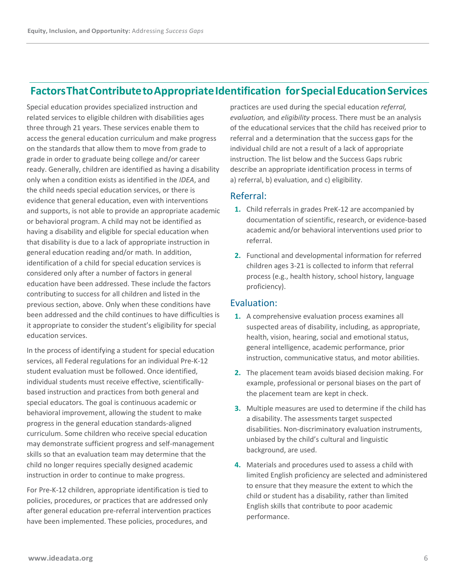# **Factors That ContributetoAppropriate Identification forSpecialEducation Services**

Special education provides specialized instruction and related services to eligible children with disabilities ages three through 21 years. These services enable them to access the general education curriculum and make progress on the standards that allow them to move from grade to grade in order to graduate being college and/or career ready. Generally, children are identified as having a disability only when a condition exists as identified in the *IDEA*, and the child needs special education services, or there is evidence that general education, even with interventions and supports, is not able to provide an appropriate academic or behavioral program. A child may not be identified as having a disability and eligible for special education when that disability is due to a lack of appropriate instruction in general education reading and/or math. In addition, identification of a child for special education services is considered only after a number of factors in general education have been addressed. These include the factors contributing to success for all children and listed in the previous section, above. Only when these conditions have been addressed and the child continues to have difficulties is it appropriate to consider the student's eligibility for special education services.

In the process of identifying a student for special education services, all Federal regulations for an individual Pre-K-12 student evaluation must be followed. Once identified, individual students must receive effective, scientificallybased instruction and practices from both general and special educators. The goal is continuous academic or behavioral improvement, allowing the student to make progress in the general education standards-aligned curriculum. Some children who receive special education may demonstrate sufficient progress and self-management skills so that an evaluation team may determine that the child no longer requires specially designed academic instruction in order to continue to make progress.

For Pre-K-12 children, appropriate identification is tied to policies, procedures, or practices that are addressed only after general education pre-referral intervention practices have been implemented. These policies, procedures, and

practices are used during the special education *referral, evaluation,* and *eligibility* process. There must be an analysis of the educational services that the child has received prior to referral and a determination that the success gaps for the individual child are not a result of a lack of appropriate instruction. The list below and the Success Gaps rubric describe an appropriate identification process in terms of a) referral, b) evaluation, and c) eligibility.

#### Referral:

- **1.** Child referrals in grades PreK-12 are accompanied by documentation of scientific, research, or evidence-based academic and/or behavioral interventions used prior to referral.
- **2.** Functional and developmental information for referred children ages 3-21 is collected to inform that referral process (e.g., health history, school history, language proficiency).

#### Evaluation:

- **1.** A comprehensive evaluation process examines all suspected areas of disability, including, as appropriate, health, vision, hearing, social and emotional status, general intelligence, academic performance, prior instruction, communicative status, and motor abilities.
- **2.** The placement team avoids biased decision making. For example, professional or personal biases on the part of the placement team are kept in check.
- **3.** Multiple measures are used to determine if the child has a disability. The assessments target suspected disabilities. Non-discriminatory evaluation instruments, unbiased by the child's cultural and linguistic background, are used.
- **4.** Materials and procedures used to assess a child with limited English proficiency are selected and administered to ensure that they measure the extent to which the child or student has a disability, rather than limited English skills that contribute to poor academic performance.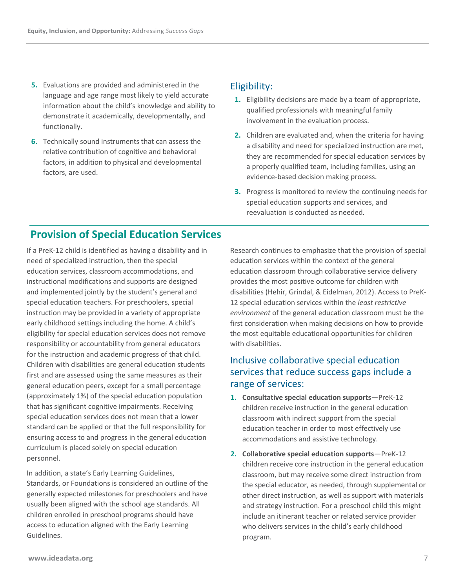- **5.** Evaluations are provided and administered in the language and age range most likely to yield accurate information about the child's knowledge and ability to demonstrate it academically, developmentally, and functionally.
- **6.** Technically sound instruments that can assess the relative contribution of cognitive and behavioral factors, in addition to physical and developmental factors, are used.

#### Eligibility:

- **1.** Eligibility decisions are made by a team of appropriate, qualified professionals with meaningful family involvement in the evaluation process.
- **2.** Children are evaluated and, when the criteria for having a disability and need for specialized instruction are met, they are recommended for special education services by a properly qualified team, including families, using an evidence-based decision making process.
- **3.** Progress is monitored to review the continuing needs for special education supports and services, and reevaluation is conducted as needed.

## **Provision of Special Education Services**

If a PreK-12 child is identified as having a disability and in need of specialized instruction, then the special education services, classroom accommodations, and instructional modifications and supports are designed and implemented jointly by the student's general and special education teachers. For preschoolers, special instruction may be provided in a variety of appropriate early childhood settings including the home. A child's eligibility for special education services does not remove responsibility or accountability from general educators for the instruction and academic progress of that child. Children with disabilities are general education students first and are assessed using the same measures as their general education peers, except for a small percentage (approximately 1%) of the special education population that has significant cognitive impairments. Receiving special education services does not mean that a lower standard can be applied or that the full responsibility for ensuring access to and progress in the general education curriculum is placed solely on special education personnel.

In addition, a state's Early Learning Guidelines, Standards, or Foundations is considered an outline of the generally expected milestones for preschoolers and have usually been aligned with the school age standards. All children enrolled in preschool programs should have access to education aligned with the Early Learning Guidelines.

Research continues to emphasize that the provision of special education services within the context of the general education classroom through collaborative service delivery provides the most positive outcome for children with disabilities (Hehir, Grindal, & Eidelman, 2012). Access to PreK-12 special education services within the *least restrictive environment* of the general education classroom must be the first consideration when making decisions on how to provide the most equitable educational opportunities for children with disabilities.

### Inclusive collaborative special education services that reduce success gaps include a range of services:

- **1. Consultative special education supports**—PreK-12 children receive instruction in the general education classroom with indirect support from the special education teacher in order to most effectively use accommodations and assistive technology.
- **2. Collaborative special education supports**—PreK-12 children receive core instruction in the general education classroom, but may receive some direct instruction from the special educator, as needed, through supplemental or other direct instruction, as well as support with materials and strategy instruction. For a preschool child this might include an itinerant teacher or related service provider who delivers services in the child's early childhood program.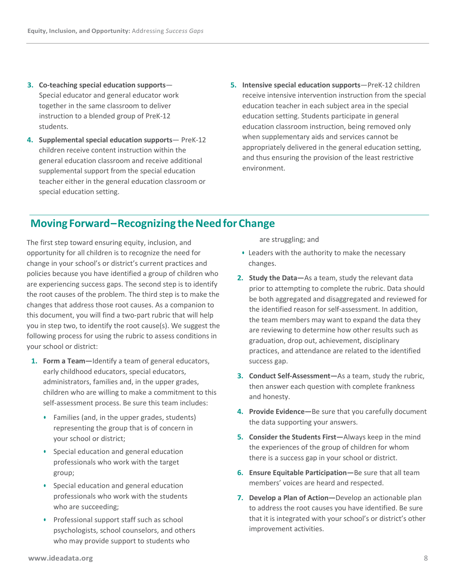- **3. Co-teaching special education supports** Special educator and general educator work together in the same classroom to deliver instruction to a blended group of PreK-12 students.
- **4. Supplemental special education supports** PreK-12 children receive content instruction within the general education classroom and receive additional supplemental support from the special education teacher either in the general education classroom or special education setting.
- **5. Intensive special education supports**—PreK-12 children receive intensive intervention instruction from the special education teacher in each subject area in the special education setting. Students participate in general education classroom instruction, being removed only when supplementary aids and services cannot be appropriately delivered in the general education setting, and thus ensuring the provision of the least restrictive environment.

### **Moving Forward – Recognizing the Need for Change**

The first step toward ensuring equity, inclusion, and opportunity for all children is to recognize the need for change in your school's or district's current practices and policies because you have identified a group of children who are experiencing success gaps. The second step is to identify the root causes of the problem. The third step is to make the changes that address those root causes. As a companion to this document, you will find a two-part rubric that will help you in step two, to identify the root cause(s). We suggest the following process for using the rubric to assess conditions in your school or district:

- **1. Form a Team—**Identify a team of general educators, early childhood educators, special educators, administrators, families and, in the upper grades, children who are willing to make a commitment to this self-assessment process. Be sure this team includes:
	- **•** Families (and, in the upper grades, students) representing the group that is of concern in your school or district;
	- **•** Special education and general education professionals who work with the target group;
	- **•** Special education and general education professionals who work with the students who are succeeding;
	- **•** Professional support staff such as school psychologists, school counselors, and others who may provide support to students who

are struggling; and

- **•** Leaders with the authority to make the necessary changes.
- **2. Study the Data—**As a team, study the relevant data prior to attempting to complete the rubric. Data should be both aggregated and disaggregated and reviewed for the identified reason for self-assessment. In addition, the team members may want to expand the data they are reviewing to determine how other results such as graduation, drop out, achievement, disciplinary practices, and attendance are related to the identified success gap.
- **3. Conduct Self-Assessment—**As a team, study the rubric, then answer each question with complete frankness and honesty.
- **4. Provide Evidence—**Be sure that you carefully document the data supporting your answers.
- **5. Consider the Students First—**Always keep in the mind the experiences of the group of children for whom there is a success gap in your school or district.
- **6. Ensure Equitable Participation—**Be sure that all team members' voices are heard and respected.
- **7. Develop a Plan of Action—**Develop an actionable plan to address the root causes you have identified. Be sure that it is integrated with your school's or district's other improvement activities.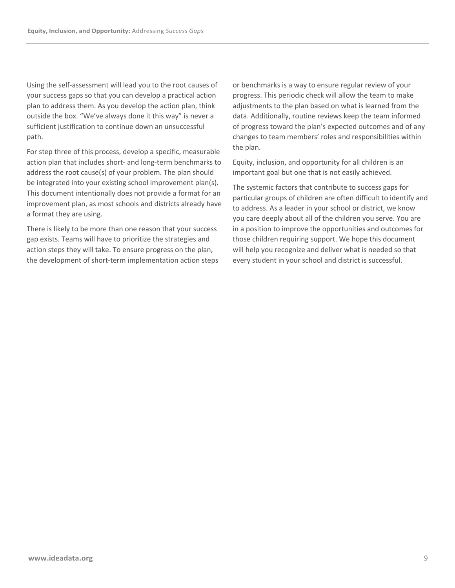Using the self-assessment will lead you to the root causes of your success gaps so that you can develop a practical action plan to address them. As you develop the action plan, think outside the box. "We've always done it this way" is never a sufficient justification to continue down an unsuccessful path.

For step three of this process, develop a specific, measurable action plan that includes short- and long-term benchmarks to address the root cause(s) of your problem. The plan should be integrated into your existing school improvement plan(s). This document intentionally does not provide a format for an improvement plan, as most schools and districts already have a format they are using.

There is likely to be more than one reason that your success gap exists. Teams will have to prioritize the strategies and action steps they will take. To ensure progress on the plan, the development of short-term implementation action steps or benchmarks is a way to ensure regular review of your progress. This periodic check will allow the team to make adjustments to the plan based on what is learned from the data. Additionally, routine reviews keep the team informed of progress toward the plan's expected outcomes and of any changes to team members' roles and responsibilities within the plan.

Equity, inclusion, and opportunity for all children is an important goal but one that is not easily achieved.

The systemic factors that contribute to success gaps for particular groups of children are often difficult to identify and to address. As a leader in your school or district, we know you care deeply about all of the children you serve. You are in a position to improve the opportunities and outcomes for those children requiring support. We hope this document will help you recognize and deliver what is needed so that every student in your school and district is successful.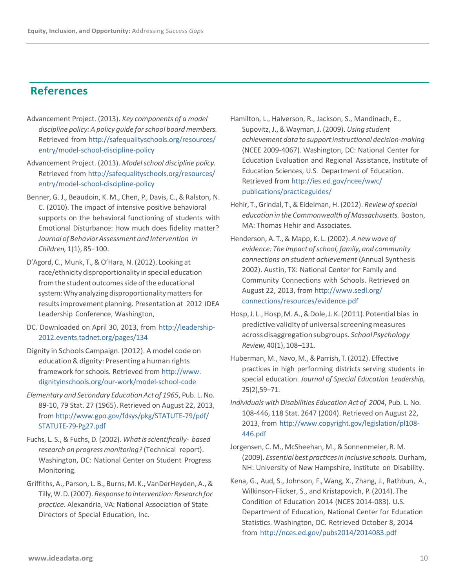### **References**

- Advancement Project. (2013). *Key components of a model discipline policy: A policy guide forschool boardmembers.* Retrieved from [http://safequalityschools.org/resources/](http://safequalityschools.org/resources/entry/model-school-discipline-policy) [entry/model-school-discipline-policy](http://safequalityschools.org/resources/entry/model-school-discipline-policy)
- Advancement Project. (2013). *Modelschool discipline policy.* Retrieved from [http://safequalityschools.org/resources/](http://safequalityschools.org/resources/entry/model-school-discipline-policy) [entry/model-school-discipline-policy](http://safequalityschools.org/resources/entry/model-school-discipline-policy)
- Benner, G. J., Beaudoin, K. M., Chen, P., Davis, C., & Ralston, N. C. (2010). The impact of intensive positive behavioral supports on the behavioral functioning of students with Emotional Disturbance: How much does fidelity matter? *Journal of BehaviorAssessment and Intervention in Children,* 1(1), 85–100.
- D'Agord, C., Munk, T., & O'Hara, N. (2012). Looking at race/ethnicity disproportionality in special education from the student outcomes side of the educational system: Why analyzing disproportionality matters for resultsimprovement planning. Presentation at 2012 IDEA Leadership Conference, Washington,
- DC. Downloaded on April 30, 2013, from [http://leadership-](http://leadership-2012.events.tadnet.org/pages/134)[2012.events.tadnet.org/pages/134](http://leadership-2012.events.tadnet.org/pages/134)
- Dignity in Schools Campaign. (2012). A model code on education & dignity: Presenting a human rights framework for schools. Retrieved from [http://www.](http://www.dignityinschools.org/our-work/model-school-code) [dignityinschools.org/our-work/model-school-code](http://www.dignityinschools.org/our-work/model-school-code)
- *Elementary and Secondary Education Act of 1965*, Pub. L. No. 89-10, 79 Stat. 27 (1965). Retrieved on August 22, 2013, from [http://www.gpo.gov/fdsys/pkg/STATUTE-79/pdf/](http://www.gpo.gov/fdsys/pkg/STATUTE-79/pdf/STATUTE-79-Pg27.pdf) [STATUTE-79-Pg27.pdf](http://www.gpo.gov/fdsys/pkg/STATUTE-79/pdf/STATUTE-79-Pg27.pdf)
- Fuchs, L. S., & Fuchs, D. (2002). What is scientifically- based *research on progressmonitoring?* (Technical report). Washington, DC: National Center on Student Progress Monitoring.
- Griffiths, A., Parson, L. B., Burns, M. K.,VanDerHeyden, A., & Tilly, W. D. (2007). *Response to intervention:Researchfor practice.* Alexandria, VA: National Association of State Directors of Special Education, Inc.
- Hamilton, L., Halverson, R., Jackson, S., Mandinach, E., Supovitz, J., & Wayman, J. (2009). *Using student achievement data to supportinstructional decision-making* (NCEE 2009-4067). Washington, DC: National Center for Education Evaluation and Regional Assistance, Institute of Education Sciences, U.S. Department of Education. Retrieved from [http://ies.ed.gov/ncee/wwc/](http://ies.ed.gov/ncee/wwc/publications/practiceguides/) [publications/practiceguides/](http://ies.ed.gov/ncee/wwc/publications/practiceguides/)
- Hehir, T.,Grindal, T., & Eidelman, H. (2012). *Review ofspecial education in the Commonwealth of Massachusetts.* Boston, MA: Thomas Hehir and Associates.
- Henderson, A. T., & Mapp, K. L. (2002). *A new wave of evidence: The impact ofschool, family, and community connections on student achievement* (Annual Synthesis 2002). Austin, TX: National Center for Family and Community Connections with Schools. Retrieved on August 22, 2013, from [http://www.sedl.org/](http://www.sedl.org/connections/resources/evidence.pdf) [connections/resources/evidence.pdf](http://www.sedl.org/connections/resources/evidence.pdf)
- Hosp, J. L., Hosp, M. A., & Dole, J. K. (2011). Potential bias in predictive validityof universalscreening measures across disaggregationsubgroups. *SchoolPsychology Review,*40(1),108–131.
- Huberman, M., Navo, M., & Parrish, T. (2012). Effective practices in high performing districts serving students in special education. *Journal of Special Education Leadership,*  25(2),59–71.
- *Individuals with Disabilities Education Act of 2004*, Pub. L. No. 108-446, 118 Stat. 2647 (2004). Retrieved on August 22, 2013, from [http://www.copyright.gov/legislation/pl108-](http://www.copyright.gov/legislation/pl108-446.pdf) [446.pdf](http://www.copyright.gov/legislation/pl108-446.pdf)
- Jorgensen, C. M., McSheehan, M., & Sonnenmeier, R. M. (2009). *Essential best practicesin inclusive schools.* Durham, NH: University of New Hampshire, Institute on Disability.
- Kena, G., Aud, S., Johnson, F., Wang, X., Zhang, J., Rathbun, A., Wilkinson-Flicker, S., and Kristapovich, P. (2014). The Condition of Education 2014 (NCES 2014-083). U.S. Department of Education, National Center for Education Statistics. Washington, DC. Retrieved October 8, 2014 from <http://nces.ed.gov/pubs2014/2014083.pdf>